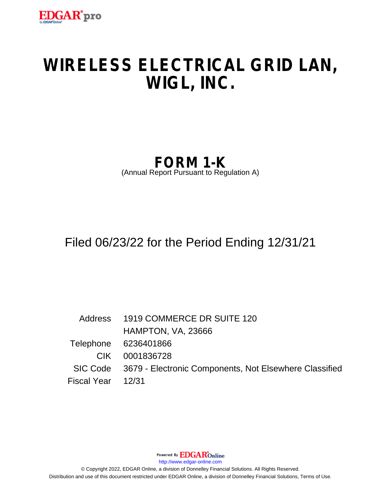

# **WIRELESS ELECTRICAL GRID LAN, WIGL, INC.**

# **FORM 1-K**

(Annual Report Pursuant to Regulation A)

# Filed 06/23/22 for the Period Ending 12/31/21

Address 1919 COMMERCE DR SUITE 120 HAMPTON, VA, 23666 Telephone 6236401866 CIK 0001836728 SIC Code 3679 - Electronic Components, Not Elsewhere Classified Fiscal Year 12/31

Powered By **EDGAR**Online

http://www.edgar-online.com

© Copyright 2022, EDGAR Online, a division of Donnelley Financial Solutions. All Rights Reserved. Distribution and use of this document restricted under EDGAR Online, a division of Donnelley Financial Solutions, Terms of Use.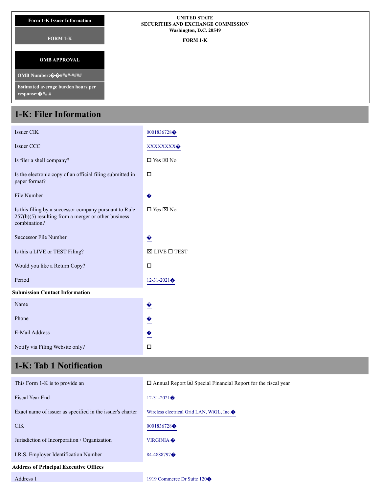# Form 1-K Issuer Information

## FORM 1- $K$

# **OMB APPROVAL**

OMB Number: ��####-####

Estimated average burden hours per response: \*\*\*

# 1-K: Filer Information

| <b>Issuer CIK</b>                                                                                                               | 0001836728                   |
|---------------------------------------------------------------------------------------------------------------------------------|------------------------------|
| Issuer CCC                                                                                                                      | <b>XXXXXXXX</b>              |
| Is filer a shell company?                                                                                                       | $\Box$ Yes $\boxtimes$ No    |
| Is the electronic copy of an official filing submitted in<br>paper format?                                                      | $\Box$                       |
| File Number                                                                                                                     | $\bullet$                    |
| Is this filing by a successor company pursuant to Rule<br>$257(b)(5)$ resulting from a merger or other business<br>combination? | $\Box$ Yes $\boxtimes$ No    |
| <b>Successor File Number</b>                                                                                                    | $\bullet$                    |
| Is this a LIVE or TEST Filing?                                                                                                  | $\Sigma$ LIVE $\square$ TEST |
| Would you like a Return Copy?                                                                                                   | $\Box$                       |
| Period                                                                                                                          | $12 - 31 - 2021$             |
| <b>Submission Contact Information</b>                                                                                           |                              |
| Name                                                                                                                            | $\bullet$                    |
| Phone                                                                                                                           | $\bullet$                    |
| E-Mail Address                                                                                                                  | $\bullet$                    |
| Notify via Filing Website only?                                                                                                 | $\Box$                       |

**UNITED STATE** 

SECURITIES AND EXCHANGE COMMISSION Washington, D.C. 20549

 ${\bf FORM}$  1-K

# 1-K: Tab 1 Notification

| This Form 1-K is to provide an                            | $\Box$ Annual Report $\boxtimes$ Special Financial Report for the fiscal year |
|-----------------------------------------------------------|-------------------------------------------------------------------------------|
| Fiscal Year End                                           | $12 - 31 - 2021$                                                              |
| Exact name of issuer as specified in the issuer's charter | Wireless electrical Grid LAN, WiGL, Inc.                                      |
| <b>CIK</b>                                                | $0001836728 \spadesuit$                                                       |
| Jurisdiction of Incorporation / Organization              | <b>VIRGINIA ♦</b>                                                             |
| I.R.S. Employer Identification Number                     | 84-4888797 $\bullet$                                                          |
| <b>Address of Principal Executive Offices</b>             |                                                                               |
| Address 1                                                 | 1919 Commerce Dr Suite 120                                                    |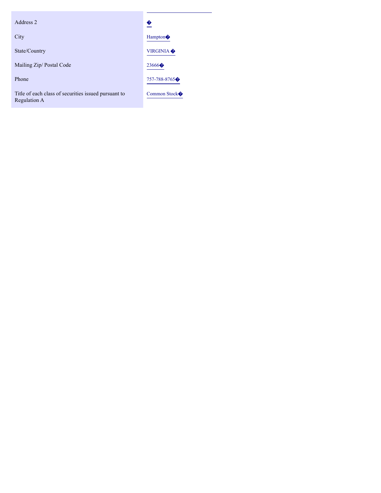| ♠ |
|---|
|   |

Mailing Zip/ Postal Code 23666� 23666� 23666� 23666� 23666� 23666� 23666� 23666� 23666� 23666� 23666� 23666� 23666� 23666� 23666� 23666� 23666� 23666� 23666� 23666� 23666� 23666� 23666� 23666� 23666� 23666� 23666� 23666� 2

Title of each class of securities issued pursuant to Regulation A

City Hampton�

State/Country VIRGINIA �

Phone 757-788-8765� 757-788-8765� 757-788-8765� 757-788-8765� 757-788-8765� 757-788-8765� 757-788-8765� 757-788-8765� 757-788-8765� 757-788-8765� 757-788-8765� 757-788-8765� 757-788-8765� 757-788-8765� 757-788-8765� 757-7

Common Stock $\bigcirc$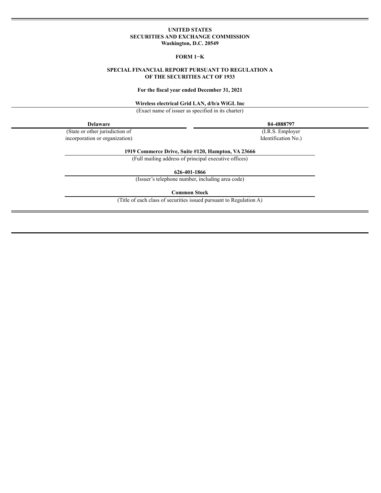# **UNITED STATES SECURITIES AND EXCHANGE COMMISSION Washington, D.C. 20549**

# **FORM 1−K**

# **SPECIAL FINANCIAL REPORT PURSUANT TO REGULATION A OF THE SECURITIES ACT OF 1933**

**For the fiscal year ended December 31, 2021**

**Wireless electrical Grid LAN, d/b/a WiGL Inc**

(Exact name of issuer as specified in its charter)

**Delaware 84-4888797**

(State or other jurisdiction of incorporation or organization) (I.R.S. Employer

Identification No.)

**1919 Commerce Drive, Suite #120, Hampton, VA 23666**

(Full mailing address of principal executive offices)

**626-401-1866**

(Issuer's telephone number, including area code)

**Common Stock**

(Title of each class of securities issued pursuant to Regulation A)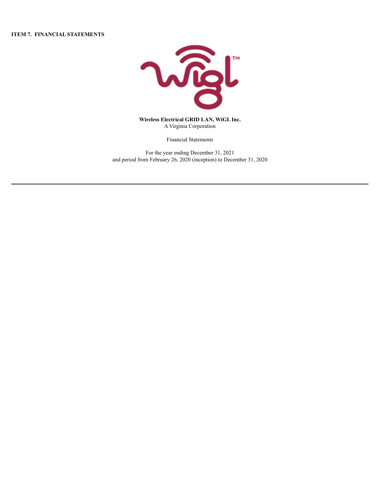**ITEM 7. FINANCIAL STATEMENTS**



A Virginia Corporation

Financial Statements

For the year ending December 31, 2021 and period from February 26, 2020 (inception) to December 31, 2020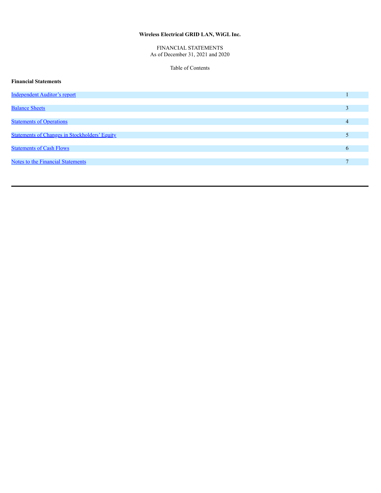# **Wireless Electrical GRID LAN, WiGL Inc.**

FINANCIAL STATEMENTS As of December 31, 2021 and 2020

Table of Contents

## **Financial Statements**

| <b>Independent Auditor's report</b>                  |   |
|------------------------------------------------------|---|
|                                                      |   |
| <b>Balance Sheets</b>                                |   |
|                                                      |   |
| <b>Statements of Operations</b>                      |   |
| <b>Statements of Changes in Stockholders' Equity</b> |   |
|                                                      |   |
| <b>Statements of Cash Flows</b>                      | b |
|                                                      |   |
| <b>Notes to the Financial Statements</b>             |   |
|                                                      |   |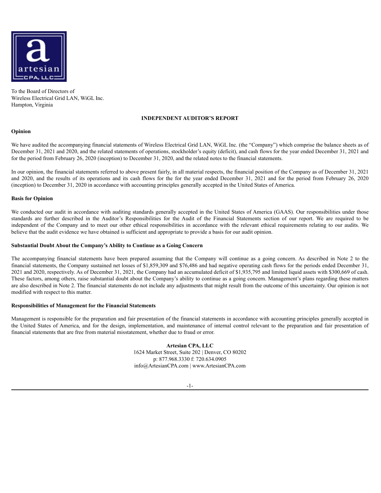

To the Board of Directors of Wireless Electrical Grid LAN, WiGL Inc. Hampton, Virginia

### **INDEPENDENT AUDITOR'S REPORT**

# **Opinion**

We have audited the accompanying financial statements of Wireless Electrical Grid LAN, WiGL Inc. (the "Company") which comprise the balance sheets as of December 31, 2021 and 2020, and the related statements of operations, stockholder's equity (deficit), and cash flows for the year ended December 31, 2021 and for the period from February 26, 2020 (inception) to December 31, 2020, and the related notes to the financial statements.

In our opinion, the financial statements referred to above present fairly, in all material respects, the financial position of the Company as of December 31, 2021 and 2020, and the results of its operations and its cash flows for the for the year ended December 31, 2021 and for the period from February 26, 2020 (inception) to December 31, 2020 in accordance with accounting principles generally accepted in the United States of America.

# **Basis for Opinion**

We conducted our audit in accordance with auditing standards generally accepted in the United States of America (GAAS). Our responsibilities under those standards are further described in the Auditor's Responsibilities for the Audit of the Financial Statements section of our report. We are required to be independent of the Company and to meet our other ethical responsibilities in accordance with the relevant ethical requirements relating to our audits. We believe that the audit evidence we have obtained is sufficient and appropriate to provide a basis for our audit opinion.

# **Substantial Doubt About the Company's Ability to Continue as a Going Concern**

The accompanying financial statements have been prepared assuming that the Company will continue as a going concern. As described in Note 2 to the financial statements, the Company sustained net losses of \$1,859,309 and \$76,486 and had negative operating cash flows for the periods ended December 31, 2021 and 2020, respectively. As of December 31, 2021, the Company had an accumulated deficit of \$1,935,795 and limited liquid assets with \$300,669 of cash. These factors, among others, raise substantial doubt about the Company's ability to continue as a going concern. Management's plans regarding these matters are also described in Note 2. The financial statements do not include any adjustments that might result from the outcome of this uncertainty. Our opinion is not modified with respect to this matter.

#### **Responsibilities of Management for the Financial Statements**

Management is responsible for the preparation and fair presentation of the financial statements in accordance with accounting principles generally accepted in the United States of America, and for the design, implementation, and maintenance of internal control relevant to the preparation and fair presentation of financial statements that are free from material misstatement, whether due to fraud or error.

> **Artesian CPA, LLC** 1624 Market Street, Suite 202 | Denver, CO 80202 p: 877.968.3330 f: 720.634.0905 info@ArtesianCPA.com | www.ArtesianCPA.com

> > -1-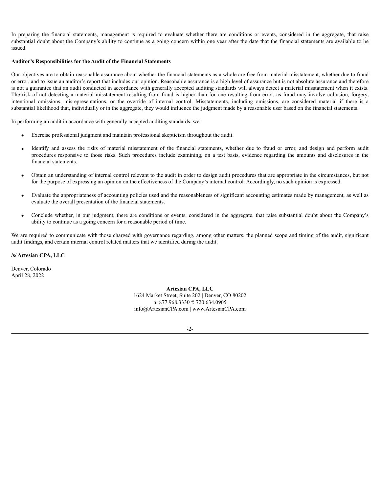In preparing the financial statements, management is required to evaluate whether there are conditions or events, considered in the aggregate, that raise substantial doubt about the Company's ability to continue as a going concern within one year after the date that the financial statements are available to be issued.

#### **Auditor's Responsibilities for the Audit of the Financial Statements**

Our objectives are to obtain reasonable assurance about whether the financial statements as a whole are free from material misstatement, whether due to fraud or error, and to issue an auditor's report that includes our opinion. Reasonable assurance is a high level of assurance but is not absolute assurance and therefore is not a guarantee that an audit conducted in accordance with generally accepted auditing standards will always detect a material misstatement when it exists. The risk of not detecting a material misstatement resulting from fraud is higher than for one resulting from error, as fraud may involve collusion, forgery, intentional omissions, misrepresentations, or the override of internal control. Misstatements, including omissions, are considered material if there is a substantial likelihood that, individually or in the aggregate, they would influence the judgment made by a reasonable user based on the financial statements.

In performing an audit in accordance with generally accepted auditing standards, we:

- · Exercise professional judgment and maintain professional skepticism throughout the audit.
- Identify and assess the risks of material misstatement of the financial statements, whether due to fraud or error, and design and perform audit procedures responsive to those risks. Such procedures include examining, on a test basis, evidence regarding the amounts and disclosures in the financial statements.
- · Obtain an understanding of internal control relevant to the audit in order to design audit procedures that are appropriate in the circumstances, but not for the purpose of expressing an opinion on the effectiveness of the Company's internal control. Accordingly, no such opinion is expressed.
- · Evaluate the appropriateness of accounting policies used and the reasonableness of significant accounting estimates made by management, as well as evaluate the overall presentation of the financial statements.
- · Conclude whether, in our judgment, there are conditions or events, considered in the aggregate, that raise substantial doubt about the Company's ability to continue as a going concern for a reasonable period of time.

We are required to communicate with those charged with governance regarding, among other matters, the planned scope and timing of the audit, significant audit findings, and certain internal control related matters that we identified during the audit.

**/s/ Artesian CPA, LLC**

Denver, Colorado April 28, 2022

> **Artesian CPA, LLC** 1624 Market Street, Suite 202 | Denver, CO 80202 p: 877.968.3330 f: 720.634.0905 info@ArtesianCPA.com | www.ArtesianCPA.com

> > -2-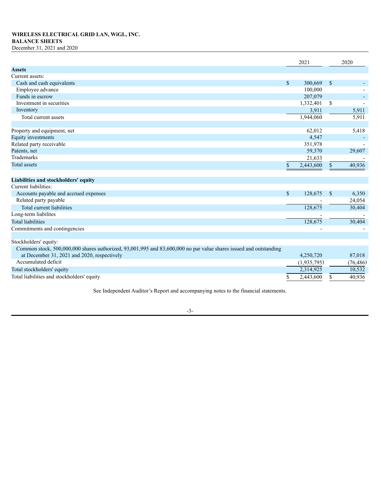# <span id="page-8-0"></span>**WIRELESS ELECTRICAL GRID LAN, WiGL, INC. BALANCE SHEETS**

December 31, 2021 and 2020

|                                                                                                                   |               | 2021        |               | 2020      |
|-------------------------------------------------------------------------------------------------------------------|---------------|-------------|---------------|-----------|
| <b>Assets</b>                                                                                                     |               |             |               |           |
| Current assets:                                                                                                   |               |             |               |           |
| Cash and cash equivalents                                                                                         | $\mathcal{S}$ | 300,669     | <sup>\$</sup> |           |
| Employee advance                                                                                                  |               | 100,000     |               |           |
| Funds in escrow                                                                                                   |               | 207,079     |               |           |
| Investment in securities                                                                                          |               | 1,332,401   | \$            |           |
| Inventory                                                                                                         |               | 3.911       |               | 5,911     |
| Total current assets                                                                                              |               | 1,944,060   |               | 5,911     |
| Property and equipment, net                                                                                       |               | 62,012      |               | 5,418     |
| Equity investments                                                                                                |               | 4,547       |               |           |
| Related party receivable                                                                                          |               | 351,978     |               |           |
| Patents, net                                                                                                      |               | 59,370      |               | 29,607    |
| Trademarks                                                                                                        |               | 21,633      |               |           |
| <b>Total assets</b>                                                                                               | \$            | 2,443,600   | $\mathbb{S}$  | 40,936    |
| Liabilities and stockholders' equity                                                                              |               |             |               |           |
| Current liabilities:                                                                                              |               |             |               |           |
| Accounts payable and accrued expenses                                                                             | \$            | 128,675     | $\mathcal{S}$ | 6,350     |
| Related party payable                                                                                             |               |             |               | 24,054    |
| Total current liabilities                                                                                         |               | 128,675     |               | 30,404    |
| Long-term liabilites                                                                                              |               |             |               |           |
| <b>Total liabilities</b>                                                                                          |               | 128,675     |               | 30,404    |
| Commitments and contingencies                                                                                     |               |             |               |           |
| Stockholders' equity:                                                                                             |               |             |               |           |
| Common stock, 500,000,000 shares authorized, 93,001,995 and 83,600,000 no par value shares issued and outstanding |               |             |               |           |
| at December 31, 2021 and 2020, respectively                                                                       |               | 4,250,720   |               | 87,018    |
| Accumulated deficit                                                                                               |               | (1,935,795) |               | (76, 486) |
| Total stockholders' equity                                                                                        |               | 2,314,925   |               | 10,532    |
| Total liabilities and stockholders' equity                                                                        | \$            | 2,443,600   | \$            | 40,936    |
| See Independent Auditor's Report and accompanying notes to the financial statements.                              |               |             |               |           |

-3-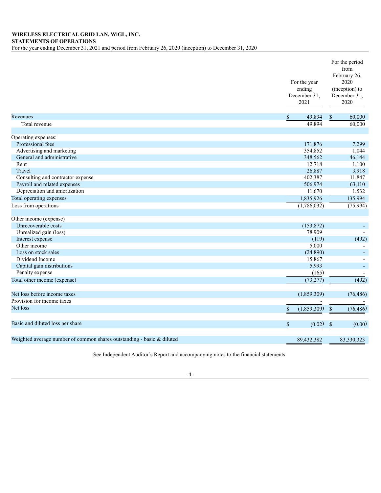<span id="page-9-0"></span>

|                                                                        | For the year<br>ending<br>December 31,<br>2021 |             |                           | For the period<br>from<br>February 26,<br>2020<br>(inception) to<br>December 31,<br>2020 |  |  |
|------------------------------------------------------------------------|------------------------------------------------|-------------|---------------------------|------------------------------------------------------------------------------------------|--|--|
| Revenues                                                               | $\mathbb S$                                    | 49,894      | \$                        | 60,000                                                                                   |  |  |
| Total revenue                                                          |                                                | 49,894      |                           | 60,000                                                                                   |  |  |
|                                                                        |                                                |             |                           |                                                                                          |  |  |
| Operating expenses:                                                    |                                                |             |                           |                                                                                          |  |  |
| Professional fees                                                      |                                                | 171,876     |                           | 7,299                                                                                    |  |  |
| Advertising and marketing                                              |                                                | 354,852     |                           | 1,044                                                                                    |  |  |
| General and administrative                                             |                                                | 348,562     |                           | 46,144                                                                                   |  |  |
| Rent                                                                   |                                                | 12,718      |                           | 1,100                                                                                    |  |  |
| Travel                                                                 |                                                | 26,887      |                           | 3,918                                                                                    |  |  |
| Consulting and contractor expense                                      |                                                | 402,387     |                           | 11,847                                                                                   |  |  |
| Payroll and related expenses                                           |                                                | 506,974     |                           | 63,110                                                                                   |  |  |
| Depreciation and amortization                                          |                                                | 11,670      |                           | 1,532                                                                                    |  |  |
| Total operating expenses                                               |                                                | 1,835,926   |                           | 135,994                                                                                  |  |  |
| Loss from operations                                                   |                                                | (1,786,032) |                           | (75, 994)                                                                                |  |  |
|                                                                        |                                                |             |                           |                                                                                          |  |  |
| Other income (expense)                                                 |                                                |             |                           |                                                                                          |  |  |
| Unrecoverable costs                                                    |                                                | (153, 872)  |                           |                                                                                          |  |  |
| Unrealized gain (loss)                                                 |                                                | 78,909      |                           |                                                                                          |  |  |
| Interest expense                                                       |                                                | (119)       |                           | (492)                                                                                    |  |  |
| Other income                                                           |                                                | 5,000       |                           |                                                                                          |  |  |
| Loss on stock sales                                                    |                                                | (24,890)    |                           |                                                                                          |  |  |
| Dividend Income                                                        |                                                | 15,867      |                           |                                                                                          |  |  |
| Capital gain distributions                                             |                                                | 5,993       |                           |                                                                                          |  |  |
| Penalty expense                                                        |                                                | (165)       |                           |                                                                                          |  |  |
| Total other income (expense)                                           |                                                | (73, 277)   |                           | (492)                                                                                    |  |  |
|                                                                        |                                                |             |                           |                                                                                          |  |  |
| Net loss before income taxes                                           |                                                | (1,859,309) |                           | (76, 486)                                                                                |  |  |
| Provision for income taxes                                             |                                                |             |                           |                                                                                          |  |  |
| Net loss                                                               | $\mathbb S$                                    | (1,859,309) | $\sqrt{\ }$               | (76, 486)                                                                                |  |  |
|                                                                        |                                                |             |                           |                                                                                          |  |  |
| Basic and diluted loss per share                                       | \$                                             | (0.02)      | $\boldsymbol{\mathsf{S}}$ | (0.00)                                                                                   |  |  |
|                                                                        |                                                |             |                           |                                                                                          |  |  |
|                                                                        |                                                |             |                           |                                                                                          |  |  |
| Weighted average number of common shares outstanding - basic & diluted |                                                | 89,432,382  |                           | 83,330,323                                                                               |  |  |

See Independent Auditor's Report and accompanying notes to the financial statements.

-4-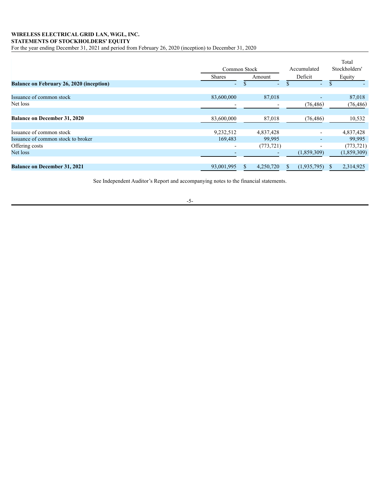# <span id="page-10-0"></span>**WIRELESS ELECTRICAL GRID LAN, WiGL, INC. STATEMENTS OF STOCKHOLDERS' EQUITY** For the year ending December 31, 2021 and period from February 26, 2020 (inception) to December 31, 2020

|                                                 |               | Common Stock             | Accumulated              | Total<br>Stockholders' |  |
|-------------------------------------------------|---------------|--------------------------|--------------------------|------------------------|--|
|                                                 | <b>Shares</b> | Amount                   | Deficit                  | Equity                 |  |
| <b>Balance on February 26, 2020 (inception)</b> | ۰.            | $\overline{\phantom{0}}$ | ۰.                       |                        |  |
|                                                 |               |                          |                          |                        |  |
| Issuance of common stock                        | 83,600,000    | 87,018                   | $\overline{\phantom{0}}$ | 87,018                 |  |
| Net loss                                        |               |                          | (76, 486)                | (76, 486)              |  |
|                                                 |               |                          |                          |                        |  |
| <b>Balance on December 31, 2020</b>             | 83,600,000    | 87,018                   | (76, 486)                | 10,532                 |  |
|                                                 |               |                          |                          |                        |  |
| Issuance of common stock                        | 9,232,512     | 4,837,428                |                          | 4,837,428              |  |
| Issuance of common stock to broker              | 169,483       | 99,995                   |                          | 99,995                 |  |
| Offering costs                                  |               | (773, 721)               | $\overline{\phantom{0}}$ | (773, 721)             |  |
| Net loss                                        |               |                          | (1,859,309)              | (1,859,309)            |  |
|                                                 |               |                          |                          |                        |  |
| <b>Balance on December 31, 2021</b>             | 93,001,995    | 4,250,720                | (1,935,795)              | 2,314,925<br>S.        |  |

See Independent Auditor's Report and accompanying notes to the financial statements.

-5-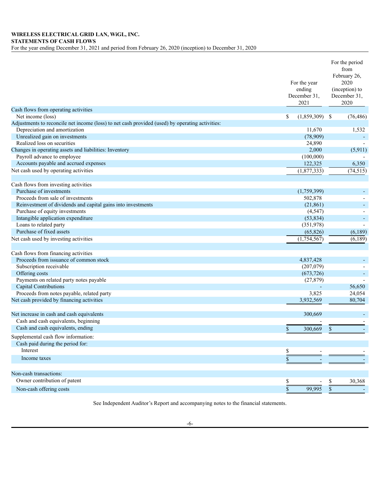|                                                                                                 |                 | For the year<br>ending<br>December 31,<br>2021 |                 | For the period<br>from<br>February 26,<br>2020<br>(inception) to<br>December 31,<br>2020 |
|-------------------------------------------------------------------------------------------------|-----------------|------------------------------------------------|-----------------|------------------------------------------------------------------------------------------|
| Cash flows from operating activities                                                            |                 |                                                |                 |                                                                                          |
| Net income (loss)                                                                               | \$              | $(1,859,309)$ \$                               |                 | (76, 486)                                                                                |
| Adjustments to reconcile net income (loss) to net cash provided (used) by operating activities: |                 |                                                |                 |                                                                                          |
| Depreciation and amortization                                                                   |                 | 11,670                                         |                 | 1,532                                                                                    |
| Unrealized gain on investments                                                                  |                 | (78,909)                                       |                 |                                                                                          |
| Realized loss on securities                                                                     |                 | 24,890                                         |                 |                                                                                          |
| Changes in operating assets and liabilities: Inventory                                          |                 | 2,000                                          |                 | (5,911)                                                                                  |
| Payroll advance to employee                                                                     |                 | (100,000)                                      |                 |                                                                                          |
| Accounts payable and accrued expenses                                                           |                 | 122,325                                        |                 | 6,350                                                                                    |
| Net cash used by operating activities                                                           |                 | (1, 877, 333)                                  |                 | (74, 515)                                                                                |
|                                                                                                 |                 |                                                |                 |                                                                                          |
| Cash flows from investing activities                                                            |                 |                                                |                 |                                                                                          |
| Purchase of investments                                                                         |                 | (1,759,399)                                    |                 |                                                                                          |
| Proceeds from sale of investments                                                               |                 | 502,878                                        |                 |                                                                                          |
| Reinvestment of dividends and capital gains into investments                                    |                 | (21, 861)                                      |                 |                                                                                          |
| Purchase of equity investments                                                                  |                 | (4, 547)                                       |                 |                                                                                          |
| Intangible application expenditure                                                              |                 | (53, 834)                                      |                 |                                                                                          |
| Loans to related party                                                                          |                 | (351,978)                                      |                 |                                                                                          |
| Purchase of fixed assets                                                                        |                 | (65, 826)                                      |                 | (6,189)                                                                                  |
| Net cash used by investing activities                                                           |                 | (1,754,567)                                    |                 | (6,189)                                                                                  |
|                                                                                                 |                 |                                                |                 |                                                                                          |
| Cash flows from financing activities                                                            |                 |                                                |                 |                                                                                          |
| Proceeds from issuance of common stock                                                          |                 | 4,837,428                                      |                 |                                                                                          |
| Subscription receivable                                                                         |                 | (207,079)                                      |                 |                                                                                          |
| Offering costs                                                                                  |                 | (673, 726)                                     |                 |                                                                                          |
| Payments on related party notes payable                                                         |                 | (27, 879)                                      |                 |                                                                                          |
| Capital Contributions                                                                           |                 |                                                |                 | 56,650                                                                                   |
| Proceeds from notes payable, related party                                                      |                 | 3,825                                          |                 | 24,054                                                                                   |
| Net cash provided by financing activities                                                       |                 | 3,932,569                                      |                 | 80,704                                                                                   |
|                                                                                                 |                 |                                                |                 |                                                                                          |
| Net increase in cash and cash equivalents                                                       |                 | 300,669                                        |                 |                                                                                          |
| Cash and cash equivalents, beginning                                                            |                 |                                                |                 |                                                                                          |
| Cash and cash equivalents, ending                                                               | \$              | 300,669                                        | \$              |                                                                                          |
| Supplemental cash flow information:                                                             |                 |                                                |                 |                                                                                          |
| Cash paid during the period for:                                                                |                 |                                                |                 |                                                                                          |
| Interest                                                                                        | \$              |                                                |                 |                                                                                          |
| Income taxes                                                                                    | $\overline{\$}$ |                                                |                 |                                                                                          |
|                                                                                                 |                 |                                                |                 |                                                                                          |
|                                                                                                 |                 |                                                |                 |                                                                                          |
| Non-cash transactions:                                                                          |                 |                                                |                 |                                                                                          |
| Owner contribution of patent                                                                    | \$              |                                                | \$              | 30,368                                                                                   |
| Non-cash offering costs                                                                         | $\overline{\$}$ | 99,995                                         | $\overline{\$}$ |                                                                                          |

See Independent Auditor's Report and accompanying notes to the financial statements.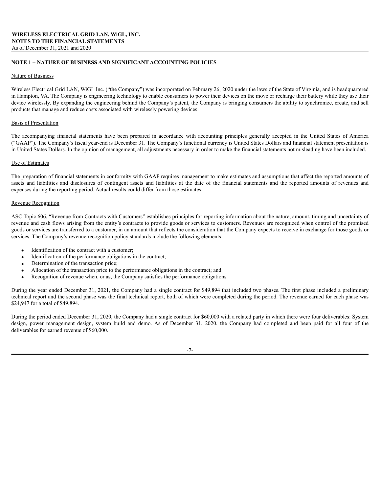## <span id="page-12-0"></span>**NOTE 1 – NATURE OF BUSINESS AND SIGNIFICANT ACCOUNTING POLICIES**

#### Nature of Business

Wireless Electrical Grid LAN, WiGL Inc. ("the Company") was incorporated on February 26, 2020 under the laws of the State of Virginia, and is headquartered in Hampton, VA. The Company is engineering technology to enable consumers to power their devices on the move or recharge their battery while they use their device wirelessly. By expanding the engineering behind the Company's patent, the Company is bringing consumers the ability to synchronize, create, and sell products that manage and reduce costs associated with wirelessly powering devices.

#### Basis of Presentation

The accompanying financial statements have been prepared in accordance with accounting principles generally accepted in the United States of America ("GAAP"). The Company's fiscal year-end is December 31. The Company's functional currency is United States Dollars and financial statement presentation is in United States Dollars. In the opinion of management, all adjustments necessary in order to make the financial statements not misleading have been included.

#### Use of Estimates

The preparation of financial statements in conformity with GAAP requires management to make estimates and assumptions that affect the reported amounts of assets and liabilities and disclosures of contingent assets and liabilities at the date of the financial statements and the reported amounts of revenues and expenses during the reporting period. Actual results could differ from those estimates.

#### Revenue Recognition

ASC Topic 606, "Revenue from Contracts with Customers" establishes principles for reporting information about the nature, amount, timing and uncertainty of revenue and cash flows arising from the entity's contracts to provide goods or services to customers. Revenues are recognized when control of the promised goods or services are transferred to a customer, in an amount that reflects the consideration that the Company expects to receive in exchange for those goods or services. The Company's revenue recognition policy standards include the following elements:

- · Identification of the contract with a customer;
- Identification of the performance obligations in the contract;
- Determination of the transaction price:
- · Allocation of the transaction price to the performance obligations in the contract; and
- Recognition of revenue when, or as, the Company satisfies the performance obligations.

During the year ended December 31, 2021, the Company had a single contract for \$49,894 that included two phases. The first phase included a preliminary technical report and the second phase was the final technical report, both of which were completed during the period. The revenue earned for each phase was \$24,947 for a total of \$49,894.

During the period ended December 31, 2020, the Company had a single contract for \$60,000 with a related party in which there were four deliverables: System design, power management design, system build and demo. As of December 31, 2020, the Company had completed and been paid for all four of the deliverables for earned revenue of \$60,000.

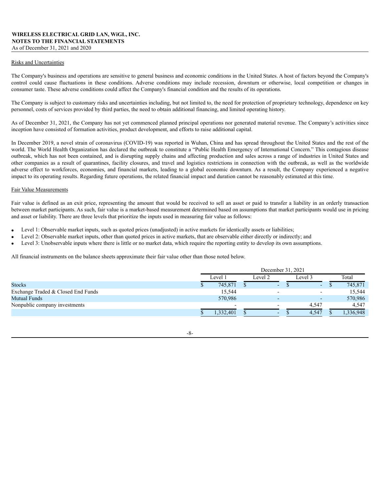#### Risks and Uncertainties

The Company's business and operations are sensitive to general business and economic conditions in the United States. A host of factors beyond the Company's control could cause fluctuations in these conditions. Adverse conditions may include recession, downturn or otherwise, local competition or changes in consumer taste. These adverse conditions could affect the Company's financial condition and the results of its operations.

The Company is subject to customary risks and uncertainties including, but not limited to, the need for protection of proprietary technology, dependence on key personnel, costs of services provided by third parties, the need to obtain additional financing, and limited operating history.

As of December 31, 2021, the Company has not yet commenced planned principal operations nor generated material revenue. The Company's activities since inception have consisted of formation activities, product development, and efforts to raise additional capital.

In December 2019, a novel strain of coronavirus (COVID-19) was reported in Wuhan, China and has spread throughout the United States and the rest of the world. The World Health Organization has declared the outbreak to constitute a "Public Health Emergency of International Concern." This contagious disease outbreak, which has not been contained, and is disrupting supply chains and affecting production and sales across a range of industries in United States and other companies as a result of quarantines, facility closures, and travel and logistics restrictions in connection with the outbreak, as well as the worldwide adverse effect to workforces, economies, and financial markets, leading to a global economic downturn. As a result, the Company experienced a negative impact to its operating results. Regarding future operations, the related financial impact and duration cannot be reasonably estimated at this time.

#### Fair Value Measurements

Fair value is defined as an exit price, representing the amount that would be received to sell an asset or paid to transfer a liability in an orderly transaction between market participants. As such, fair value is a market-based measurement determined based on assumptions that market participants would use in pricing and asset or liability. There are three levels that prioritize the inputs used in measuring fair value as follows:

- Level 1: Observable market inputs, such as quoted prices (unadjusted) in active markets for identically assets or liabilities;
- Level 2: Observable market inputs, other than quoted prices in active markets, that are observable either directly or indirectly; and
- Level 3: Unobservable inputs where there is little or no market data, which require the reporting entity to develop its own assumptions.

All financial instruments on the balance sheets approximate their fair value other than those noted below.

|                                    | December 31, 2021 |           |  |                          |  |                          |  |           |
|------------------------------------|-------------------|-----------|--|--------------------------|--|--------------------------|--|-----------|
|                                    |                   | Level 1   |  | Level 2                  |  | Level 3                  |  | Total     |
| <b>Stocks</b>                      |                   | 745,871   |  | $\sim$                   |  | н.                       |  | 745,871   |
| Exchange Traded & Closed End Funds |                   | 15,544    |  | $\overline{\phantom{a}}$ |  | $\overline{\phantom{a}}$ |  | 15,544    |
| <b>Mutual Funds</b>                |                   | 570,986   |  |                          |  |                          |  | 570,986   |
| Nonpublic company investments      |                   |           |  |                          |  | 4.547                    |  | 4.547     |
|                                    |                   | 1,332,401 |  | $\sim$                   |  | 4.547                    |  | 1,336,948 |

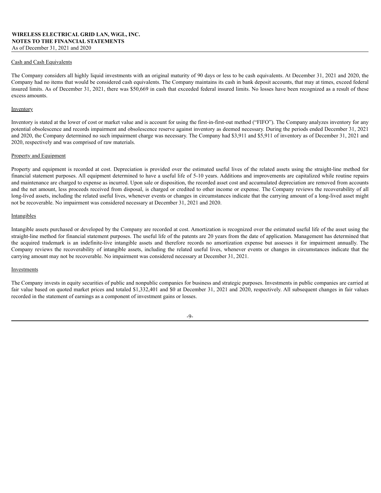#### Cash and Cash Equivalents

The Company considers all highly liquid investments with an original maturity of 90 days or less to be cash equivalents. At December 31, 2021 and 2020, the Company had no items that would be considered cash equivalents. The Company maintains its cash in bank deposit accounts, that may at times, exceed federal insured limits. As of December 31, 2021, there was \$50,669 in cash that exceeded federal insured limits. No losses have been recognized as a result of these excess amounts.

#### **Inventory**

Inventory is stated at the lower of cost or market value and is account for using the first-in-first-out method ("FIFO"). The Company analyzes inventory for any potential obsolescence and records impairment and obsolescence reserve against inventory as deemed necessary. During the periods ended December 31, 2021 and 2020, the Company determined no such impairment charge was necessary. The Company had \$3,911 and \$5,911 of inventory as of December 31, 2021 and 2020, respectively and was comprised of raw materials.

#### Property and Equipment

Property and equipment is recorded at cost. Depreciation is provided over the estimated useful lives of the related assets using the straight-line method for financial statement purposes. All equipment determined to have a useful life of 5-10 years. Additions and improvements are capitalized while routine repairs and maintenance are charged to expense as incurred. Upon sale or disposition, the recorded asset cost and accumulated depreciation are removed from accounts and the net amount, less proceeds received from disposal, is charged or credited to other income or expense. The Company reviews the recoverability of all long-lived assets, including the related useful lives, whenever events or changes in circumstances indicate that the carrying amount of a long-lived asset might not be recoverable. No impairment was considered necessary at December 31, 2021 and 2020.

#### **Intangibles**

Intangible assets purchased or developed by the Company are recorded at cost. Amortization is recognized over the estimated useful life of the asset using the straight-line method for financial statement purposes. The useful life of the patents are 20 years from the date of application. Management has determined that the acquired trademark is an indefinite-live intangible assets and therefore records no amortization expense but assesses it for impairment annually. The Company reviews the recoverability of intangible assets, including the related useful lives, whenever events or changes in circumstances indicate that the carrying amount may not be recoverable. No impairment was considered necessary at December 31, 2021.

# Investments

The Company invests in equity securities of public and nonpublic companies for business and strategic purposes. Investments in public companies are carried at fair value based on quoted market prices and totaled \$1,332,401 and \$0 at December 31, 2021 and 2020, respectively. All subsequent changes in fair values recorded in the statement of earnings as a component of investment gains or losses.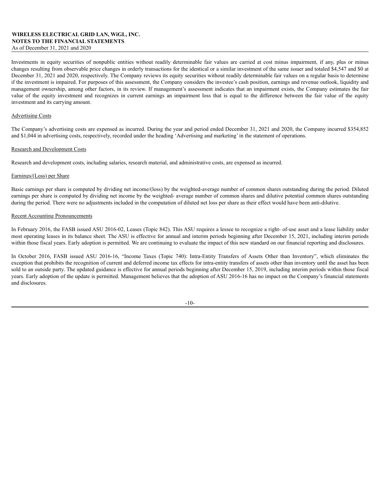Investments in equity securities of nonpublic entities without readily determinable fair values are carried at cost minus impairment, if any, plus or minus changes resulting from observable price changes in orderly transactions for the identical or a similar investment of the same issuer and totaled \$4,547 and \$0 at December 31, 2021 and 2020, respectively. The Company reviews its equity securities without readily determinable fair values on a regular basis to determine if the investment is impaired. For purposes of this assessment, the Company considers the investee's cash position, earnings and revenue outlook, liquidity and management ownership, among other factors, in its review. If management's assessment indicates that an impairment exists, the Company estimates the fair value of the equity investment and recognizes in current earnings an impairment loss that is equal to the difference between the fair value of the equity investment and its carrying amount.

### Advertising Costs

The Company's advertising costs are expensed as incurred. During the year and period ended December 31, 2021 and 2020, the Company incurred \$354,852 and \$1,044 in advertising costs, respectively, recorded under the heading 'Advertising and marketing' in the statement of operations.

#### Research and Development Costs

Research and development costs, including salaries, research material, and administrative costs, are expensed as incurred.

# Earnings/(Loss) per Share

Basic earnings per share is computed by dividing net income/(loss) by the weighted-average number of common shares outstanding during the period. Diluted earnings per share is computed by dividing net income by the weighted- average number of common shares and dilutive potential common shares outstanding during the period. There were no adjustments included in the computation of diluted net loss per share as their effect would have been anti-dilutive.

#### Recent Accounting Pronouncements

In February 2016, the FASB issued ASU 2016-02, Leases (Topic 842). This ASU requires a lessee to recognize a right- of-use asset and a lease liability under most operating leases in its balance sheet. The ASU is effective for annual and interim periods beginning after December 15, 2021, including interim periods within those fiscal years. Early adoption is permitted. We are continuing to evaluate the impact of this new standard on our financial reporting and disclosures.

In October 2016, FASB issued ASU 2016-16, "Income Taxes (Topic 740): Intra-Entity Transfers of Assets Other than Inventory", which eliminates the exception that prohibits the recognition of current and deferred income tax effects for intra-entity transfers of assets other than inventory until the asset has been sold to an outside party. The updated guidance is effective for annual periods beginning after December 15, 2019, including interim periods within those fiscal years. Early adoption of the update is permitted. Management believes that the adoption of ASU 2016-16 has no impact on the Company's financial statements and disclosures.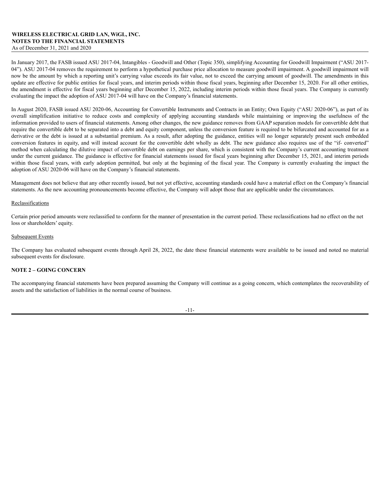In January 2017, the FASB issued ASU 2017-04, Intangibles - Goodwill and Other (Topic 350), simplifying Accounting for Goodwill Impairment ("ASU 2017- 04"). ASU 2017-04 removes the requirement to perform a hypothetical purchase price allocation to measure goodwill impairment. A goodwill impairment will now be the amount by which a reporting unit's carrying value exceeds its fair value, not to exceed the carrying amount of goodwill. The amendments in this update are effective for public entities for fiscal years, and interim periods within those fiscal years, beginning after December 15, 2020. For all other entities, the amendment is effective for fiscal years beginning after December 15, 2022, including interim periods within those fiscal years. The Company is currently evaluating the impact the adoption of ASU 2017-04 will have on the Company's financial statements.

In August 2020, FASB issued ASU 2020-06, Accounting for Convertible Instruments and Contracts in an Entity; Own Equity ("ASU 2020-06"), as part of its overall simplification initiative to reduce costs and complexity of applying accounting standards while maintaining or improving the usefulness of the information provided to users of financial statements. Among other changes, the new guidance removes from GAAP separation models for convertible debt that require the convertible debt to be separated into a debt and equity component, unless the conversion feature is required to be bifurcated and accounted for as a derivative or the debt is issued at a substantial premium. As a result, after adopting the guidance, entities will no longer separately present such embedded conversion features in equity, and will instead account for the convertible debt wholly as debt. The new guidance also requires use of the "if- converted" method when calculating the dilutive impact of convertible debt on earnings per share, which is consistent with the Company's current accounting treatment under the current guidance. The guidance is effective for financial statements issued for fiscal years beginning after December 15, 2021, and interim periods within those fiscal years, with early adoption permitted, but only at the beginning of the fiscal year. The Company is currently evaluating the impact the adoption of ASU 2020-06 will have on the Company's financial statements.

Management does not believe that any other recently issued, but not yet effective, accounting standards could have a material effect on the Company's financial statements. As the new accounting pronouncements become effective, the Company will adopt those that are applicable under the circumstances.

### Reclassifications

Certain prior period amounts were reclassified to conform for the manner of presentation in the current period. These reclassifications had no effect on the net loss or shareholders' equity.

# Subsequent Events

The Company has evaluated subsequent events through April 28, 2022, the date these financial statements were available to be issued and noted no material subsequent events for disclosure.

#### **NOTE 2 – GOING CONCERN**

The accompanying financial statements have been prepared assuming the Company will continue as a going concern, which contemplates the recoverability of assets and the satisfaction of liabilities in the normal course of business.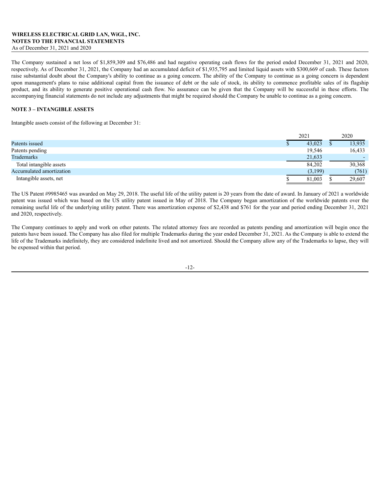The Company sustained a net loss of \$1,859,309 and \$76,486 and had negative operating cash flows for the period ended December 31, 2021 and 2020, respectively. As of December 31, 2021, the Company had an accumulated deficit of \$1,935,795 and limited liquid assets with \$300,669 of cash. These factors raise substantial doubt about the Company's ability to continue as a going concern. The ability of the Company to continue as a going concern is dependent upon management's plans to raise additional capital from the issuance of debt or the sale of stock, its ability to commence profitable sales of its flagship product, and its ability to generate positive operational cash flow. No assurance can be given that the Company will be successful in these efforts. The accompanying financial statements do not include any adjustments that might be required should the Company be unable to continue as a going concern.

# **NOTE 3 – INTANGIBLE ASSETS**

Intangible assets consist of the following at December 31:

|                          | 2021    | 2020   |
|--------------------------|---------|--------|
| Patents issued           | 43,023  | 13,935 |
| Patents pending          | 19,546  | 16,433 |
| Trademarks               | 21,633  |        |
| Total intangible assets  | 84,202  | 30,368 |
| Accumulated amortization | (3,199) | (761)  |
| Intangible assets, net   | 81,003  | 29,607 |

The US Patent #9985465 was awarded on May 29, 2018. The useful life of the utility patent is 20 years from the date of award. In January of 2021 a worldwide patent was issued which was based on the US utility patent issued in May of 2018. The Company began amortization of the worldwide patents over the remaining useful life of the underlying utility patent. There was amortization expense of \$2,438 and \$761 for the year and period ending December 31, 2021 and 2020, respectively.

The Company continues to apply and work on other patents. The related attorney fees are recorded as patents pending and amortization will begin once the patents have been issued. The Company has also filed for multiple Trademarks during the year ended December 31, 2021. As the Company is able to extend the life of the Trademarks indefinitely, they are considered indefinite lived and not amortized. Should the Company allow any of the Trademarks to lapse, they will be expensed within that period.

-12-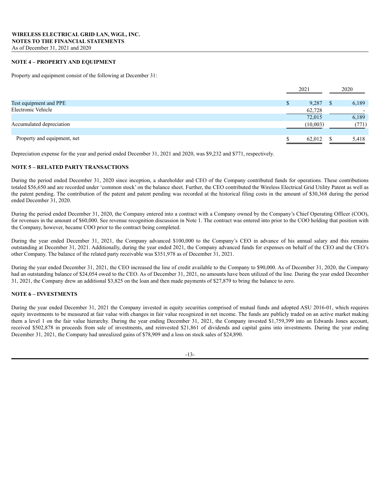# **NOTE 4 – PROPERTY AND EQUIPMENT**

Property and equipment consist of the following at December 31:

|                             |    | 2021     |  | 2020  |  |
|-----------------------------|----|----------|--|-------|--|
| Test equipment and PPE      | D. | 9,287    |  | 6,189 |  |
| Electronic Vehicle          |    | 62,728   |  |       |  |
|                             |    | 72,015   |  | 6,189 |  |
| Accumulated depreciation    |    | (10,003) |  | (771) |  |
|                             |    |          |  |       |  |
| Property and equipment, net |    | 62.012   |  | 5,418 |  |

Depreciation expense for the year and period ended December 31, 2021 and 2020, was \$9,232 and \$771, respectively.

# **NOTE 5 – RELATED PARTY TRANSACTIONS**

During the period ended December 31, 2020 since inception, a shareholder and CEO of the Company contributed funds for operations. These contributions totaled \$56,650 and are recorded under 'common stock' on the balance sheet. Further, the CEO contributed the Wireless Electrical Grid Utility Patent as well as the patent pending. The contribution of the patent and patent pending was recorded at the historical filing costs in the amount of \$30,368 during the period ended December 31, 2020.

During the period ended December 31, 2020, the Company entered into a contract with a Company owned by the Company's Chief Operating Officer (COO), for revenues in the amount of \$60,000. See revenue recognition discussion in Note 1. The contract was entered into prior to the COO holding that position with the Company, however, became COO prior to the contract being completed.

During the year ended December 31, 2021, the Company advanced \$100,000 to the Company's CEO in advance of his annual salary and this remains outstanding at December 31, 2021. Additionally, during the year ended 2021, the Company advanced funds for expenses on behalf of the CEO and the CEO's other Company. The balance of the related party receivable was \$351,978 as of December 31, 2021.

During the year ended December 31, 2021, the CEO increased the line of credit available to the Company to \$90,000. As of December 31, 2020, the Company had an outstanding balance of \$24,054 owed to the CEO. As of December 31, 2021, no amounts have been utilized of the line. During the year ended December 31, 2021, the Company drew an additional \$3,825 on the loan and then made payments of \$27,879 to bring the balance to zero.

# **NOTE 6 – INVESTMENTS**

During the year ended December 31, 2021 the Company invested in equity securities comprised of mutual funds and adopted ASU 2016-01, which requires equity investments to be measured at fair value with changes in fair value recognized in net income. The funds are publicly traded on an active market making them a level 1 on the fair value hierarchy. During the year ending December 31, 2021, the Company invested \$1,759,399 into an Edwards Jones account, received \$502,878 in proceeds from sale of investments, and reinvested \$21,861 of dividends and capital gains into investments. During the year ending December 31, 2021, the Company had unrealized gains of \$78,909 and a loss on stock sales of \$24,890.

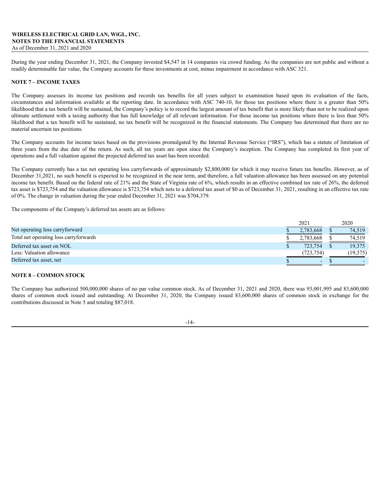During the year ending December 31, 2021, the Company invested \$4,547 in 14 companies via crowd funding. As the companies are not public and without a readily determinable fair value, the Company accounts for these investments at cost, minus impairment in accordance with ASC 321.

# **NOTE 7 – INCOME TAXES**

The Company assesses its income tax positions and records tax benefits for all years subject to examination based upon its evaluation of the facts, circumstances and information available at the reporting date. In accordance with ASC 740-10, for those tax positions where there is a greater than 50% likelihood that a tax benefit will be sustained, the Company's policy is to record the largest amount of tax benefit that is more likely than not to be realized upon ultimate settlement with a taxing authority that has full knowledge of all relevant information. For those income tax positions where there is less than 50% likelihood that a tax benefit will be sustained, no tax benefit will be recognized in the financial statements. The Company has determined that there are no material uncertain tax positions.

The Company accounts for income taxes based on the provisions promulgated by the Internal Revenue Service ("IRS"), which has a statute of limitation of three years from the due date of the return. As such, all tax years are open since the Company's inception. The Company has completed its first year of operations and a full valuation against the projected deferred tax asset has been recorded.

The Company currently has a tax net operating loss carryforwards of approximately \$2,800,000 for which it may receive future tax benefits. However, as of December 31,2021, no such benefit is expected to be recognized in the near term, and therefore, a full valuation allowance has been assessed on any potential income tax benefit. Based on the federal rate of 21% and the State of Virginia rate of 6%, which results in an effective combined tax rate of 26%, the deferred tax asset is \$723,754 and the valuation allowance is \$723,754 which nets to a deferred tax asset of \$0 as of December 31, 2021, resulting in an effective tax rate of 0%. The change in valuation during the year ended December 31, 2021 was \$704,379.

The components of the Company's deferred tax assets are as follows:

|                                        | 2021                     | 2020      |
|----------------------------------------|--------------------------|-----------|
| Net operating loss carryforward        | 2,783,668                | 74,519    |
| Total net operating loss carryforwards | 2,783,668                | 74,519    |
| Deferred tax asset on NOL              | 723,754                  | 19,375    |
| Less: Valuation allowance              | (723, 754)               | (19, 375) |
| Deferred tax asset, net                | $\overline{\phantom{0}}$ |           |

#### **NOTE 8 – COMMON STOCK**

The Company has authorized 500,000,000 shares of no par value common stock. As of December 31, 2021 and 2020, there was 93,001,995 and 83,600,000 shares of common stock issued and outstanding. At December 31, 2020, the Company issued 83,600,000 shares of common stock in exchange for the contributions discussed in Note 5 and totaling \$87,018.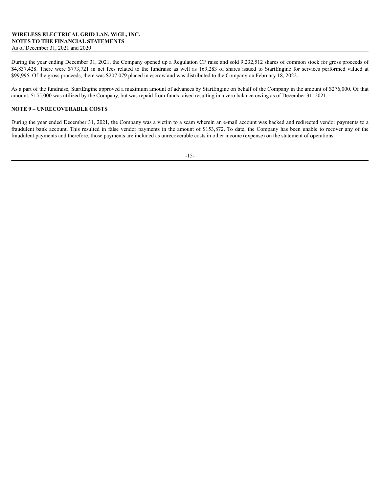During the year ending December 31, 2021, the Company opened up a Regulation CF raise and sold 9,232,512 shares of common stock for gross proceeds of \$4,837,428. There were \$773,721 in net fees related to the fundraise as well as 169,283 of shares issued to StartEngine for services performed valued at \$99,995. Of the gross proceeds, there was \$207,079 placed in escrow and was distributed to the Company on February 18, 2022.

As a part of the fundraise, StartEngine approved a maximum amount of advances by StartEngine on behalf of the Company in the amount of \$276,000. Of that amount, \$155,000 was utilized by the Company, but was repaid from funds raised resulting in a zero balance owing as of December 31, 2021.

# **NOTE 9 – UNRECOVERABLE COSTS**

During the year ended December 31, 2021, the Company was a victim to a scam wherein an e-mail account was hacked and redirected vendor payments to a fraudulent bank account. This resulted in false vendor payments in the amount of \$153,872. To date, the Company has been unable to recover any of the fraudulent payments and therefore, those payments are included as unrecoverable costs in other income (expense) on the statement of operations.

-15-